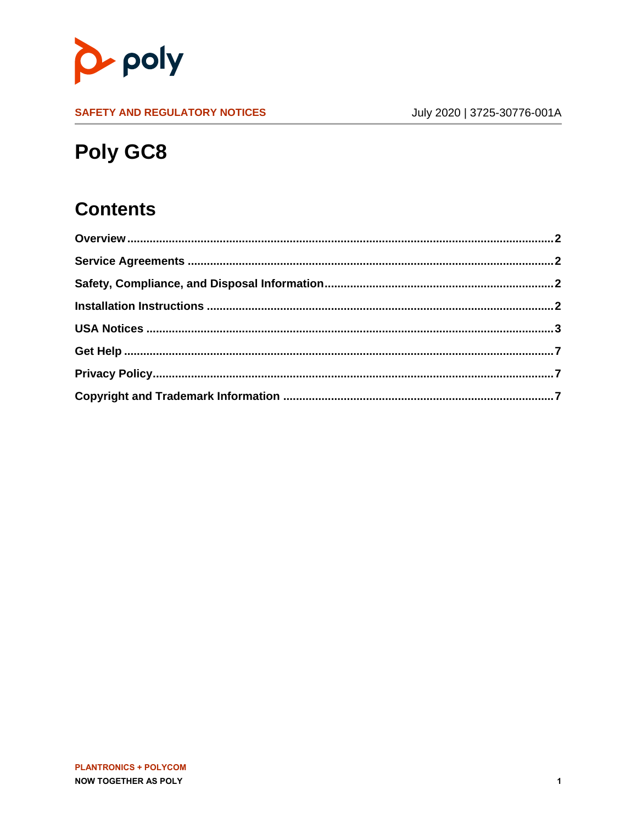

**SAFETY AND REGULATORY NOTICES** 

## Poly GC8

### **Contents**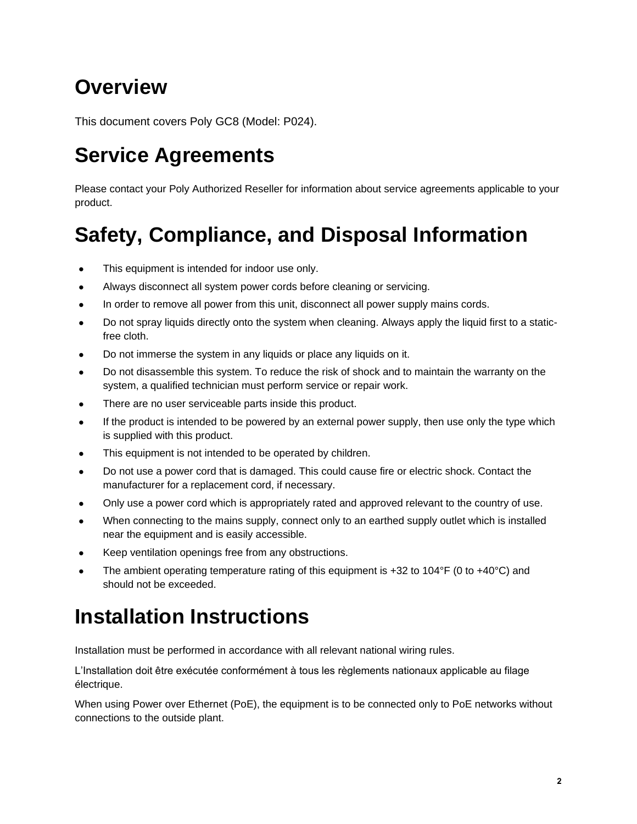## <span id="page-1-0"></span>**Overview**

This document covers Poly GC8 (Model: P024).

# <span id="page-1-1"></span>**Service Agreements**

Please contact your Poly Authorized Reseller for information about service agreements applicable to your product.

## <span id="page-1-2"></span>**Safety, Compliance, and Disposal Information**

- This equipment is intended for indoor use only.
- Always disconnect all system power cords before cleaning or servicing.
- In order to remove all power from this unit, disconnect all power supply mains cords.
- Do not spray liquids directly onto the system when cleaning. Always apply the liquid first to a staticfree cloth.
- Do not immerse the system in any liquids or place any liquids on it.
- Do not disassemble this system. To reduce the risk of shock and to maintain the warranty on the system, a qualified technician must perform service or repair work.
- There are no user serviceable parts inside this product.
- If the product is intended to be powered by an external power supply, then use only the type which is supplied with this product.
- This equipment is not intended to be operated by children.
- Do not use a power cord that is damaged. This could cause fire or electric shock. Contact the manufacturer for a replacement cord, if necessary.
- Only use a power cord which is appropriately rated and approved relevant to the country of use.
- When connecting to the mains supply, connect only to an earthed supply outlet which is installed near the equipment and is easily accessible.
- Keep ventilation openings free from any obstructions.
- The ambient operating temperature rating of this equipment is  $+32$  to  $104^{\circ}F$  (0 to  $+40^{\circ}C$ ) and should not be exceeded.

## <span id="page-1-3"></span>**Installation Instructions**

Installation must be performed in accordance with all relevant national wiring rules.

L'Installation doit être exécutée conformément à tous les règlements nationaux applicable au filage électrique.

When using Power over Ethernet (PoE), the equipment is to be connected only to PoE networks without connections to the outside plant.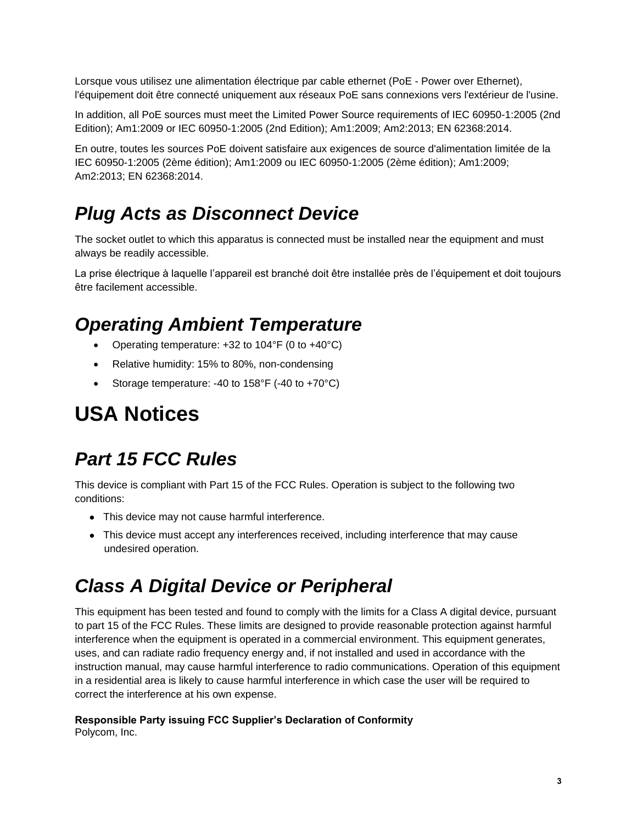Lorsque vous utilisez une alimentation électrique par cable ethernet (PoE - Power over Ethernet), l'équipement doit être connecté uniquement aux réseaux PoE sans connexions vers l'extérieur de l'usine.

In addition, all PoE sources must meet the Limited Power Source requirements of IEC 60950-1:2005 (2nd Edition); Am1:2009 or IEC 60950-1:2005 (2nd Edition); Am1:2009; Am2:2013; EN 62368:2014.

En outre, toutes les sources PoE doivent satisfaire aux exigences de source d'alimentation limitée de la IEC 60950-1:2005 (2ème édition); Am1:2009 ou IEC 60950-1:2005 (2ème édition); Am1:2009; Am2:2013; EN 62368:2014.

#### *Plug Acts as Disconnect Device*

The socket outlet to which this apparatus is connected must be installed near the equipment and must always be readily accessible.

La prise électrique à laquelle l'appareil est branché doit être installée près de l'équipement et doit toujours être facilement accessible.

### *Operating Ambient Temperature*

- Operating temperature: +32 to 104°F (0 to +40°C)
- Relative humidity: 15% to 80%, non-condensing
- Storage temperature: -40 to 158°F (-40 to +70°C)

## <span id="page-2-0"></span>**USA Notices**

### *Part 15 FCC Rules*

This device is compliant with Part 15 of the FCC Rules. Operation is subject to the following two conditions:

- This device may not cause harmful interference.
- This device must accept any interferences received, including interference that may cause undesired operation.

#### *Class A Digital Device or Peripheral*

This equipment has been tested and found to comply with the limits for a Class A digital device, pursuant to part 15 of the FCC Rules. These limits are designed to provide reasonable protection against harmful interference when the equipment is operated in a commercial environment. This equipment generates, uses, and can radiate radio frequency energy and, if not installed and used in accordance with the instruction manual, may cause harmful interference to radio communications. Operation of this equipment in a residential area is likely to cause harmful interference in which case the user will be required to correct the interference at his own expense.

#### **Responsible Party issuing FCC Supplier's Declaration of Conformity**

Polycom, Inc.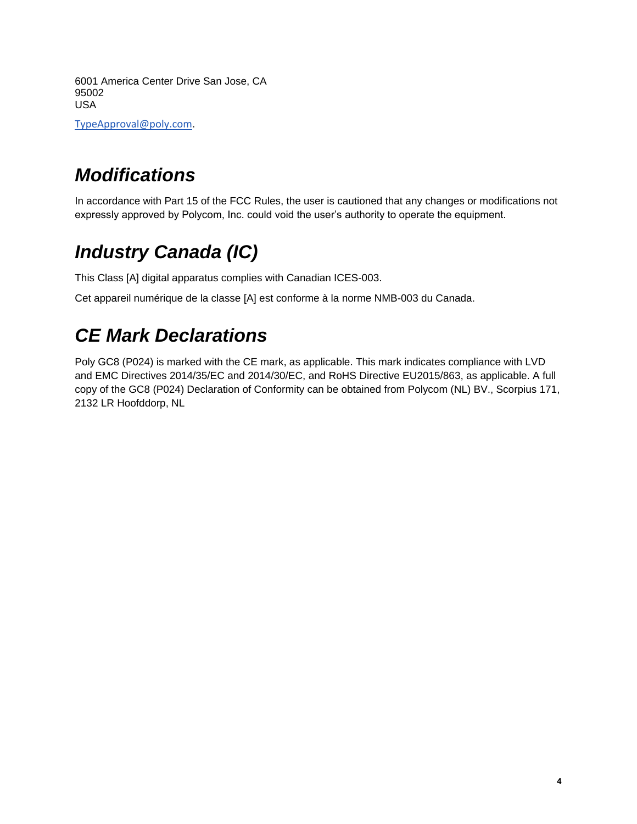6001 America Center Drive San Jose, CA 95002 USA

[TypeApproval@poly.com](mailto:TypeApproval@poly.com).

### *Modifications*

In accordance with Part 15 of the FCC Rules, the user is cautioned that any changes or modifications not expressly approved by Polycom, Inc. could void the user's authority to operate the equipment.

## *Industry Canada (IC)*

This Class [A] digital apparatus complies with Canadian ICES-003.

Cet appareil numérique de la classe [A] est conforme à la norme NMB-003 du Canada.

#### *CE Mark Declarations*

Poly GC8 (P024) is marked with the CE mark, as applicable. This mark indicates compliance with LVD and EMC Directives 2014/35/EC and 2014/30/EC, and RoHS Directive EU2015/863, as applicable. A full copy of the GC8 (P024) Declaration of Conformity can be obtained from Polycom (NL) BV., Scorpius 171, 2132 LR Hoofddorp, NL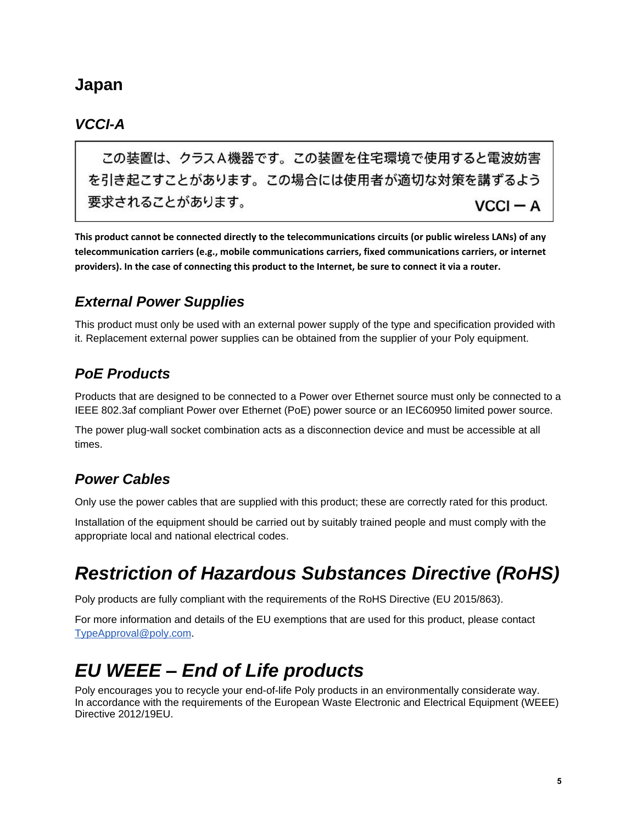#### **Japan**

#### *VCCI-A*

この装置は、クラスA機器です。この装置を住宅環境で使用すると雷波妨害 を引き起こすことがあります。この場合には使用者が適切な対策を講ずるよう 要求されることがあります。  $VCCI - A$ 

**This product cannot be connected directly to the telecommunications circuits (or public wireless LANs) of any telecommunication carriers (e.g., mobile communications carriers, fixed communications carriers, or internet providers). In the case of connecting this product to the Internet, be sure to connect it via a router.**

#### *External Power Supplies*

This product must only be used with an external power supply of the type and specification provided with it. Replacement external power supplies can be obtained from the supplier of your Poly equipment.

#### *PoE Products*

Products that are designed to be connected to a Power over Ethernet source must only be connected to a IEEE 802.3af compliant Power over Ethernet (PoE) power source or an IEC60950 limited power source.

The power plug-wall socket combination acts as a disconnection device and must be accessible at all times.

#### *Power Cables*

Only use the power cables that are supplied with this product; these are correctly rated for this product.

Installation of the equipment should be carried out by suitably trained people and must comply with the appropriate local and national electrical codes.

#### *Restriction of Hazardous Substances Directive (RoHS)*

Poly products are fully compliant with the requirements of the RoHS Directive (EU 2015/863).

For more information and details of the EU exemptions that are used for this product, please contact [TypeApproval@poly.com.](mailto:TypeApproval@poly.com)

#### *EU WEEE – End of Life products*

Poly encourages you to recycle your end-of-life Poly products in an environmentally considerate way. In accordance with the requirements of the European Waste Electronic and Electrical Equipment (WEEE) Directive 2012/19EU.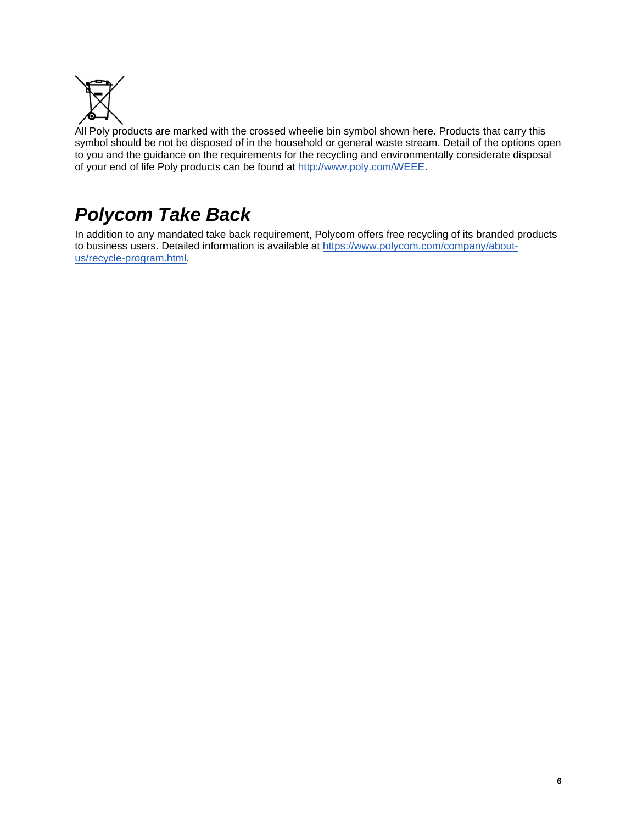

All Poly products are marked with the crossed wheelie bin symbol shown here. Products that carry this symbol should be not be disposed of in the household or general waste stream. Detail of the options open to you and the guidance on the requirements for the recycling and environmentally considerate disposal of your end of life Poly products can be found at [http://www.poly.com/WEEE.](http://www.polycom.com/WEEE)

### *Polycom Take Back*

In addition to any mandated take back requirement, Polycom offers free recycling of its branded products to business users. Detailed information is available at https://www.polycom.com/company/aboutus/recycle-program.html.